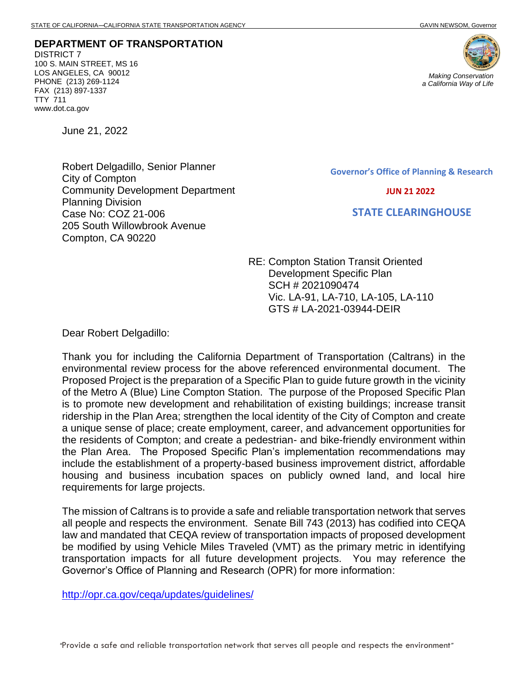**DEPARTMENT OF TRANSPORTATION** DISTRICT 7 100 S. MAIN STREET, MS 16 LOS ANGELES, CA 90012 PHONE (213) 269-1124 FAX (213) 897-1337 TTY 711 www.dot.ca.gov

June 21, 2022

Robert Delgadillo, Senior Planner City of Compton Community Development Department Planning Division Case No: COZ 21-006 205 South Willowbrook Avenue Compton, CA 90220

**Governor's Office of Planning & Research**

 **JUN 21 2022**

 **STATE CLEARINGHOUSE**

RE: Compton Station Transit Oriented Development Specific Plan SCH # 2021090474 Vic. LA-91, LA-710, LA-105, LA-110 GTS # LA-2021-03944-DEIR

Dear Robert Delgadillo:

Thank you for including the California Department of Transportation (Caltrans) in the environmental review process for the above referenced environmental document. The Proposed Project is the preparation of a Specific Plan to guide future growth in the vicinity of the Metro A (Blue) Line Compton Station. The purpose of the Proposed Specific Plan is to promote new development and rehabilitation of existing buildings; increase transit ridership in the Plan Area; strengthen the local identity of the City of Compton and create a unique sense of place; create employment, career, and advancement opportunities for the residents of Compton; and create a pedestrian- and bike-friendly environment within the Plan Area. The Proposed Specific Plan's implementation recommendations may include the establishment of a property-based business improvement district, affordable housing and business incubation spaces on publicly owned land, and local hire requirements for large projects.

The mission of Caltrans is to provide a safe and reliable transportation network that serves all people and respects the environment. Senate Bill 743 (2013) has codified into CEQA law and mandated that CEQA review of transportation impacts of proposed development be modified by using Vehicle Miles Traveled (VMT) as the primary metric in identifying transportation impacts for all future development projects. You may reference the Governor's Office of Planning and Research (OPR) for more information:

<http://opr.ca.gov/ceqa/updates/guidelines/>

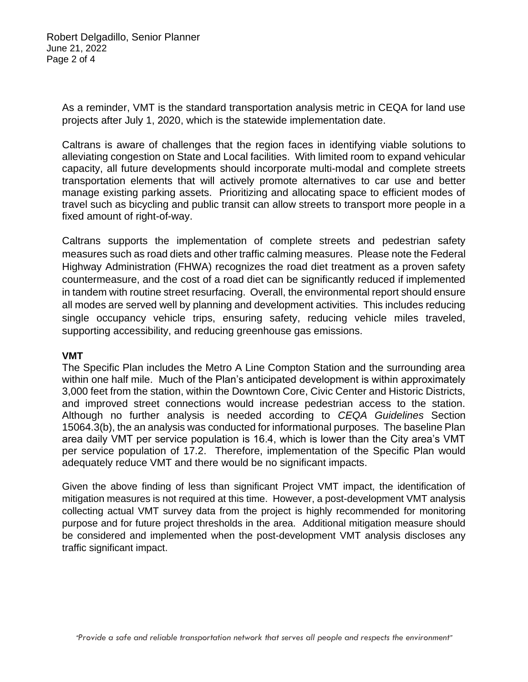As a reminder, VMT is the standard transportation analysis metric in CEQA for land use projects after July 1, 2020, which is the statewide implementation date.

Caltrans is aware of challenges that the region faces in identifying viable solutions to alleviating congestion on State and Local facilities. With limited room to expand vehicular capacity, all future developments should incorporate multi-modal and complete streets transportation elements that will actively promote alternatives to car use and better manage existing parking assets. Prioritizing and allocating space to efficient modes of travel such as bicycling and public transit can allow streets to transport more people in a fixed amount of right-of-way.

Caltrans supports the implementation of complete streets and pedestrian safety measures such as road diets and other traffic calming measures. Please note the Federal Highway Administration (FHWA) recognizes the road diet treatment as a proven safety countermeasure, and the cost of a road diet can be significantly reduced if implemented in tandem with routine street resurfacing. Overall, the environmental report should ensure all modes are served well by planning and development activities. This includes reducing single occupancy vehicle trips, ensuring safety, reducing vehicle miles traveled, supporting accessibility, and reducing greenhouse gas emissions.

## **VMT**

The Specific Plan includes the Metro A Line Compton Station and the surrounding area within one half mile. Much of the Plan's anticipated development is within approximately 3,000 feet from the station, within the Downtown Core, Civic Center and Historic Districts, and improved street connections would increase pedestrian access to the station. Although no further analysis is needed according to *CEQA Guidelines* Section 15064.3(b), the an analysis was conducted for informational purposes. The baseline Plan area daily VMT per service population is 16.4, which is lower than the City area's VMT per service population of 17.2. Therefore, implementation of the Specific Plan would adequately reduce VMT and there would be no significant impacts.

Given the above finding of less than significant Project VMT impact, the identification of mitigation measures is not required at this time. However, a post-development VMT analysis collecting actual VMT survey data from the project is highly recommended for monitoring purpose and for future project thresholds in the area. Additional mitigation measure should be considered and implemented when the post-development VMT analysis discloses any traffic significant impact.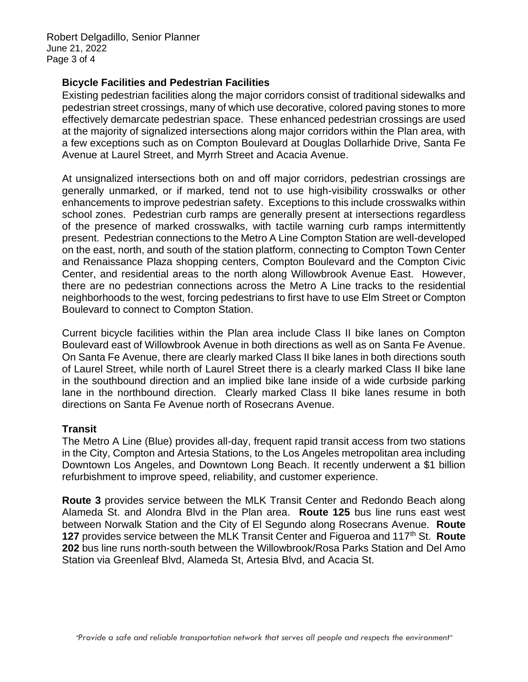Robert Delgadillo, Senior Planner June 21, 2022 Page 3 of 4

## **Bicycle Facilities and Pedestrian Facilities**

Existing pedestrian facilities along the major corridors consist of traditional sidewalks and pedestrian street crossings, many of which use decorative, colored paving stones to more effectively demarcate pedestrian space. These enhanced pedestrian crossings are used at the majority of signalized intersections along major corridors within the Plan area, with a few exceptions such as on Compton Boulevard at Douglas Dollarhide Drive, Santa Fe Avenue at Laurel Street, and Myrrh Street and Acacia Avenue.

At unsignalized intersections both on and off major corridors, pedestrian crossings are generally unmarked, or if marked, tend not to use high-visibility crosswalks or other enhancements to improve pedestrian safety. Exceptions to this include crosswalks within school zones. Pedestrian curb ramps are generally present at intersections regardless of the presence of marked crosswalks, with tactile warning curb ramps intermittently present. Pedestrian connections to the Metro A Line Compton Station are well-developed on the east, north, and south of the station platform, connecting to Compton Town Center and Renaissance Plaza shopping centers, Compton Boulevard and the Compton Civic Center, and residential areas to the north along Willowbrook Avenue East. However, there are no pedestrian connections across the Metro A Line tracks to the residential neighborhoods to the west, forcing pedestrians to first have to use Elm Street or Compton Boulevard to connect to Compton Station.

Current bicycle facilities within the Plan area include Class II bike lanes on Compton Boulevard east of Willowbrook Avenue in both directions as well as on Santa Fe Avenue. On Santa Fe Avenue, there are clearly marked Class II bike lanes in both directions south of Laurel Street, while north of Laurel Street there is a clearly marked Class II bike lane in the southbound direction and an implied bike lane inside of a wide curbside parking lane in the northbound direction. Clearly marked Class II bike lanes resume in both directions on Santa Fe Avenue north of Rosecrans Avenue.

## **Transit**

The Metro A Line (Blue) provides all-day, frequent rapid transit access from two stations in the City, Compton and Artesia Stations, to the Los Angeles metropolitan area including Downtown Los Angeles, and Downtown Long Beach. It recently underwent a \$1 billion refurbishment to improve speed, reliability, and customer experience.

**Route 3** provides service between the MLK Transit Center and Redondo Beach along Alameda St. and Alondra Blvd in the Plan area. **Route 125** bus line runs east west between Norwalk Station and the City of El Segundo along Rosecrans Avenue. **Route 127** provides service between the MLK Transit Center and Figueroa and 117th St. **Route 202** bus line runs north-south between the Willowbrook/Rosa Parks Station and Del Amo Station via Greenleaf Blvd, Alameda St, Artesia Blvd, and Acacia St.